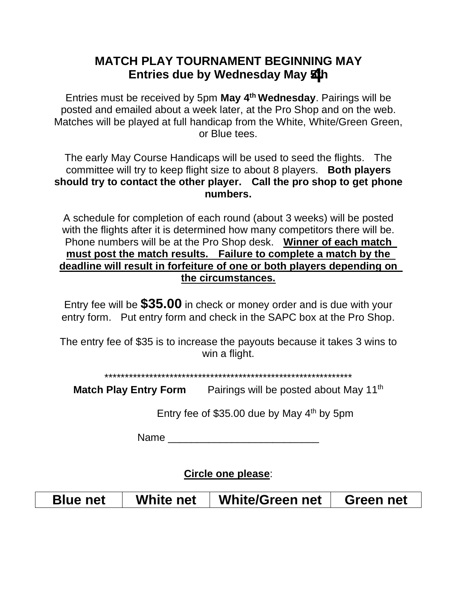## **MATCH PLAY TOURNAMENT BEGINNING MAY** Entries due by Wednesday May **Z4**h

Entries must be received by 5pm **May 4 th Wednesday**. Pairings will be posted and emailed about a week later, at the Pro Shop and on the web. Matches will be played at full handicap from the White, White/Green Green, or Blue tees.

The early May Course Handicaps will be used to seed the flights. The committee will try to keep flight size to about 8 players. **Both players should try to contact the other player. Call the pro shop to get phone numbers.**

A schedule for completion of each round (about 3 weeks) will be posted with the flights after it is determined how many competitors there will be. Phone numbers will be at the Pro Shop desk. **Winner of each match must post the match results. Failure to complete a match by the deadline will result in forfeiture of one or both players depending on the circumstances.**

Entry fee will be **\$35.00** in check or money order and is due with your entry form. Put entry form and check in the SAPC box at the Pro Shop.

The entry fee of \$35 is to increase the payouts because it takes 3 wins to win a flight.

## \*\*\*\*\*\*\*\*\*\*\*\*\*\*\*\*\*\*\*\*\*\*\*\*\*\*\*\*\*\*\*\*\*\*\*\*\*\*\*\*\*\*\*\*\*\*\*\*\*\*\*\*\*\*\*\*\*\*\*\*\*

Match Play Entry Form Pairings will be posted about May 11<sup>th</sup>

Entry fee of \$35.00 due by May  $4<sup>th</sup>$  by 5pm

 $Name$ 

**Circle one please**:

**Blue net White net White/Green net Green net**